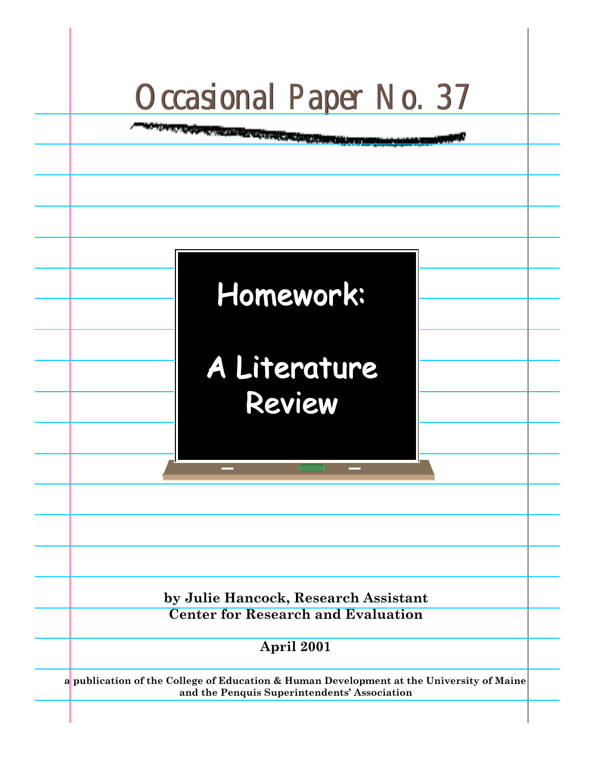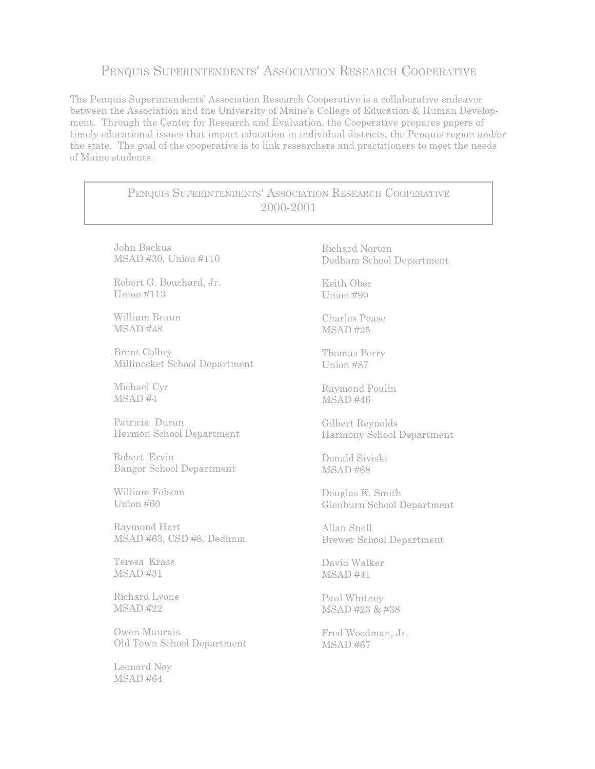# PENQUIS SUPERINTENDENTS' ASSOCIATION RESEARCH COOPERATIVE

The Penquis Superintendents' Association Research Cooperative is a collaborative endeavor between the Association and the University of Maine's College of Education & Human Development. Through the Center for Research and Evaluation, the Cooperative prepares papers of timely educational issues that impact education in individual districts, the Penquis region and/or the state. The goal of the cooperative is to link researchers and practitioners to meet the needs of Maine students.

| PENQUIS SUPERINTENDENTS' ASSOCIATION RESEARCH COOPERATIVE<br>2000-2001 |                                 |
|------------------------------------------------------------------------|---------------------------------|
| John Backus                                                            | Richard Norton                  |
| MSAD #30, Union #110                                                   | Dedham School Department        |
| Robert G. Bouchard, Jr.                                                | Keith Ober                      |
| <b>Union #113</b>                                                      | Union #90                       |
| William Braun                                                          | <b>Charles Pease</b>            |
| MSAD #48                                                               | <b>MSAD#25</b>                  |
| <b>Brent Colbry</b>                                                    | Thomas Perry                    |
| Millinocket School Department                                          | Union #87                       |
| Michael Cyr                                                            | Raymond Poulin                  |
| MSAD#4                                                                 | $MSAD$ #46                      |
| Patricia Duran                                                         | Gilbert Reynolds                |
| Hermon School Department                                               | Harmony School Department       |
| Robert Ervin                                                           | Donald Siviski                  |
| <b>Bangor School Department</b>                                        | <b>MSAD#68</b>                  |
| William Folsom                                                         | Douglas K. Smith                |
| Union #60                                                              | Glenburn School Department      |
| Raymond Hart                                                           | Allan Snell                     |
| MSAD #63, CSD #8, Dedham                                               | <b>Brewer School Department</b> |
| Teresa Krass                                                           | David Walker                    |
| <b>MSAD#31</b>                                                         | MSAD #41                        |
| Richard Lyons                                                          | Paul Whitney                    |
| <b>MSAD #22</b>                                                        | MSAD #23 & #38                  |
| Owen Maurais                                                           | Fred Woodman, Jr.               |
| Old Town School Department                                             | <b>MSAD#67</b>                  |
| Leonard Ney<br><b>MSAD#64</b>                                          |                                 |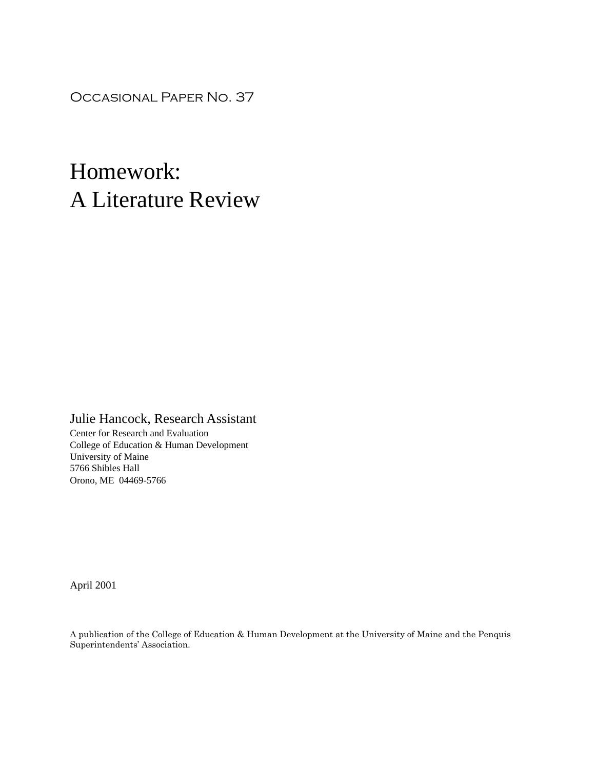Occasional Paper No. 37

# Homework: A Literature Review

# Julie Hancock, Research Assistant

Center for Research and Evaluation College of Education & Human Development University of Maine 5766 Shibles Hall Orono, ME 04469-5766

April 2001

A publication of the College of Education & Human Development at the University of Maine and the Penquis Superintendents' Association.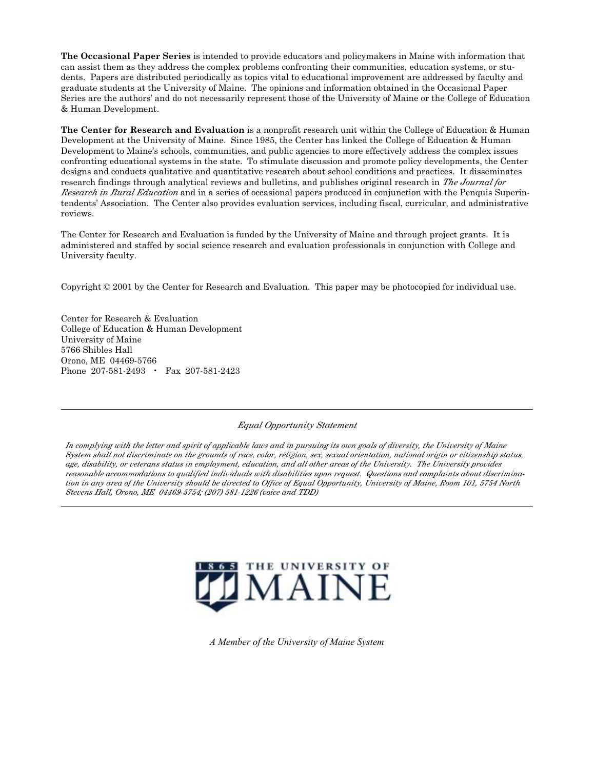**The Occasional Paper Series** is intended to provide educators and policymakers in Maine with information that can assist them as they address the complex problems confronting their communities, education systems, or students. Papers are distributed periodically as topics vital to educational improvement are addressed by faculty and graduate students at the University of Maine. The opinions and information obtained in the Occasional Paper Series are the authors' and do not necessarily represent those of the University of Maine or the College of Education & Human Development.

**The Center for Research and Evaluation** is a nonprofit research unit within the College of Education & Human Development at the University of Maine. Since 1985, the Center has linked the College of Education & Human Development to Maine's schools, communities, and public agencies to more effectively address the complex issues confronting educational systems in the state. To stimulate discussion and promote policy developments, the Center designs and conducts qualitative and quantitative research about school conditions and practices. It disseminates research findings through analytical reviews and bulletins, and publishes original research in *The Journal for Research in Rural Education* and in a series of occasional papers produced in conjunction with the Penquis Superintendents' Association. The Center also provides evaluation services, including fiscal, curricular, and administrative reviews.

The Center for Research and Evaluation is funded by the University of Maine and through project grants. It is administered and staffed by social science research and evaluation professionals in conjunction with College and University faculty.

Copyright © 2001 by the Center for Research and Evaluation. This paper may be photocopied for individual use.

Center for Research & Evaluation College of Education & Human Development University of Maine 5766 Shibles Hall Orono, ME 04469-5766 Phone 207-581-2493 • Fax 207-581-2423

*Equal Opportunity Statement*

*In complying with the letter and spirit of applicable laws and in pursuing its own goals of diversity, the University of Maine System shall not discriminate on the grounds of race, color, religion, sex, sexual orientation, national origin or citizenship status, age, disability, or veterans status in employment, education, and all other areas of the University. The University provides reasonable accommodations to qualified individuals with disabilities upon request. Questions and complaints about discrimination in any area of the University should be directed to Office of Equal Opportunity, University of Maine, Room 101, 5754 North Stevens Hall, Orono, ME 04469-5754; (207) 581-1226 (voice and TDD)*



*A Member of the University of Maine System*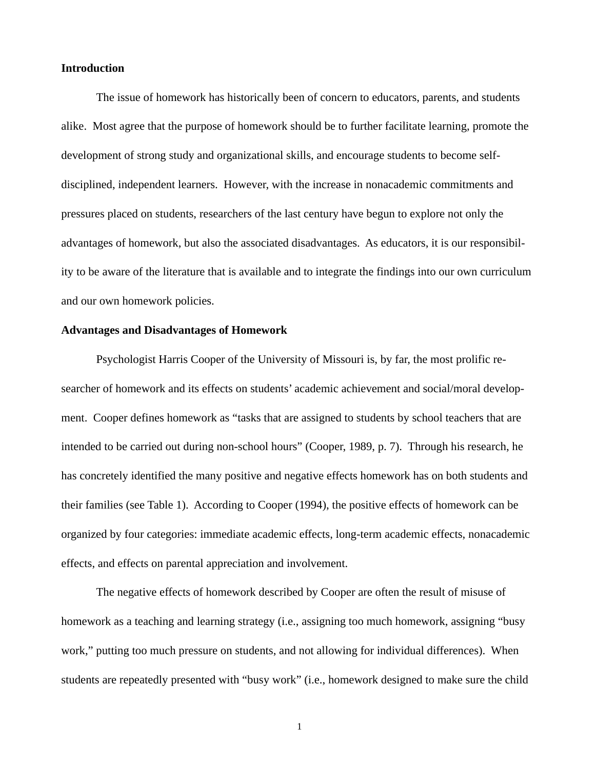## **Introduction**

The issue of homework has historically been of concern to educators, parents, and students alike. Most agree that the purpose of homework should be to further facilitate learning, promote the development of strong study and organizational skills, and encourage students to become selfdisciplined, independent learners. However, with the increase in nonacademic commitments and pressures placed on students, researchers of the last century have begun to explore not only the advantages of homework, but also the associated disadvantages. As educators, it is our responsibility to be aware of the literature that is available and to integrate the findings into our own curriculum and our own homework policies.

#### **Advantages and Disadvantages of Homework**

Psychologist Harris Cooper of the University of Missouri is, by far, the most prolific researcher of homework and its effects on students' academic achievement and social/moral development. Cooper defines homework as "tasks that are assigned to students by school teachers that are intended to be carried out during non-school hours" (Cooper, 1989, p. 7). Through his research, he has concretely identified the many positive and negative effects homework has on both students and their families (see Table 1). According to Cooper (1994), the positive effects of homework can be organized by four categories: immediate academic effects, long-term academic effects, nonacademic effects, and effects on parental appreciation and involvement.

The negative effects of homework described by Cooper are often the result of misuse of homework as a teaching and learning strategy (i.e., assigning too much homework, assigning "busy work," putting too much pressure on students, and not allowing for individual differences). When students are repeatedly presented with "busy work" (i.e., homework designed to make sure the child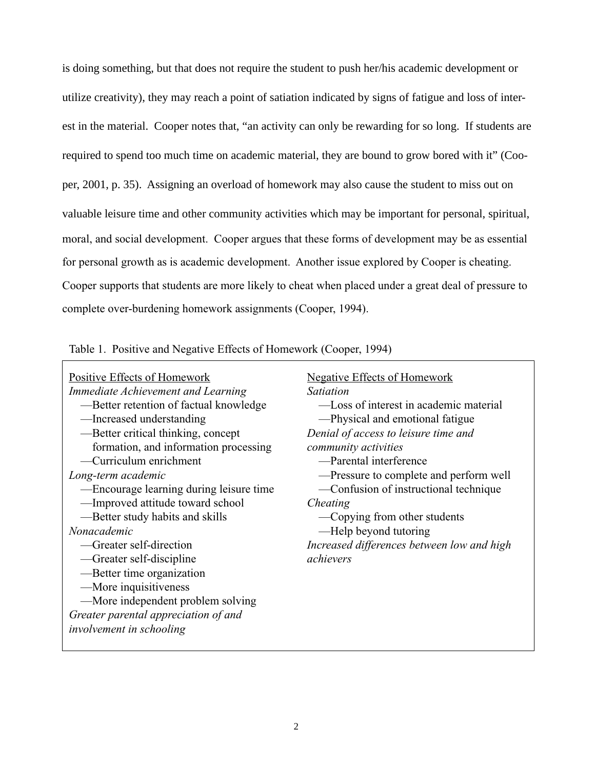is doing something, but that does not require the student to push her/his academic development or utilize creativity), they may reach a point of satiation indicated by signs of fatigue and loss of interest in the material. Cooper notes that, "an activity can only be rewarding for so long. If students are required to spend too much time on academic material, they are bound to grow bored with it" (Cooper, 2001, p. 35). Assigning an overload of homework may also cause the student to miss out on valuable leisure time and other community activities which may be important for personal, spiritual, moral, and social development. Cooper argues that these forms of development may be as essential for personal growth as is academic development. Another issue explored by Cooper is cheating. Cooper supports that students are more likely to cheat when placed under a great deal of pressure to complete over-burdening homework assignments (Cooper, 1994).

Table 1. Positive and Negative Effects of Homework (Cooper, 1994)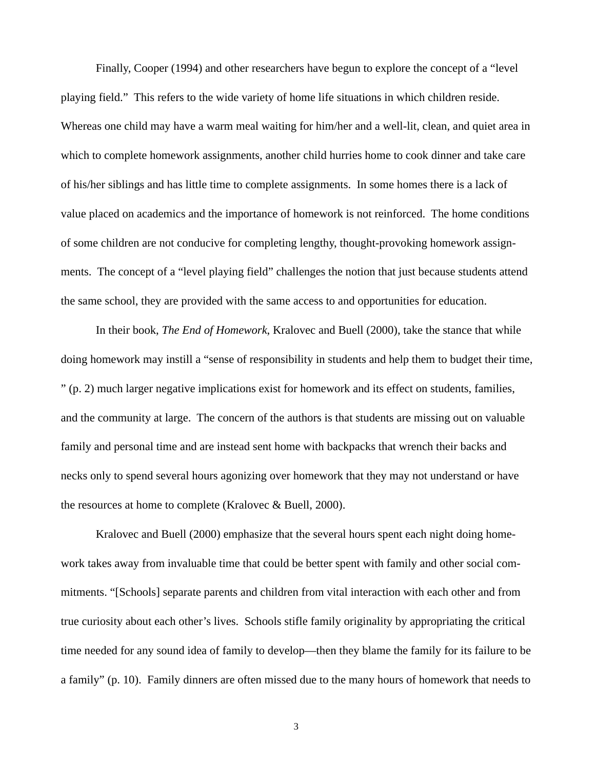Finally, Cooper (1994) and other researchers have begun to explore the concept of a "level playing field." This refers to the wide variety of home life situations in which children reside. Whereas one child may have a warm meal waiting for him/her and a well-lit, clean, and quiet area in which to complete homework assignments, another child hurries home to cook dinner and take care of his/her siblings and has little time to complete assignments. In some homes there is a lack of value placed on academics and the importance of homework is not reinforced. The home conditions of some children are not conducive for completing lengthy, thought-provoking homework assignments. The concept of a "level playing field" challenges the notion that just because students attend the same school, they are provided with the same access to and opportunities for education.

In their book, *The End of Homework*, Kralovec and Buell (2000), take the stance that while doing homework may instill a "sense of responsibility in students and help them to budget their time, " (p. 2) much larger negative implications exist for homework and its effect on students, families, and the community at large. The concern of the authors is that students are missing out on valuable family and personal time and are instead sent home with backpacks that wrench their backs and necks only to spend several hours agonizing over homework that they may not understand or have the resources at home to complete (Kralovec & Buell, 2000).

Kralovec and Buell (2000) emphasize that the several hours spent each night doing homework takes away from invaluable time that could be better spent with family and other social commitments. "[Schools] separate parents and children from vital interaction with each other and from true curiosity about each other's lives. Schools stifle family originality by appropriating the critical time needed for any sound idea of family to develop—then they blame the family for its failure to be a family" (p. 10). Family dinners are often missed due to the many hours of homework that needs to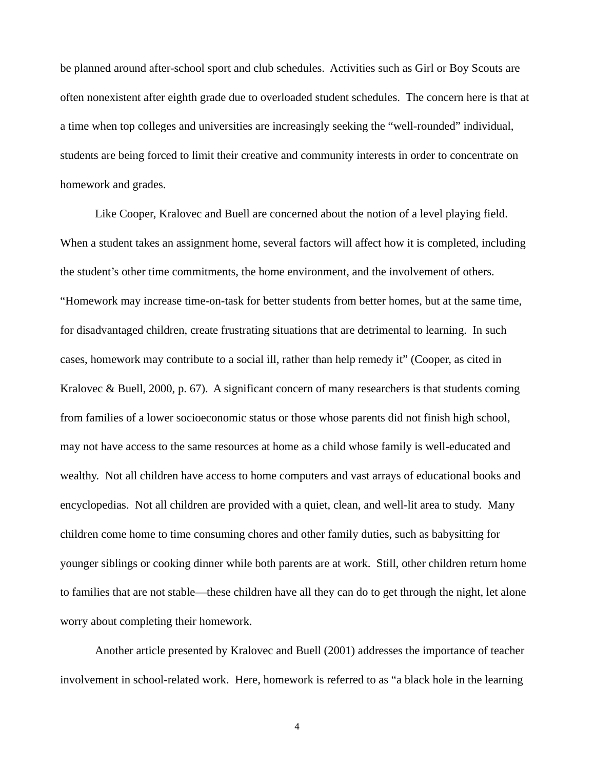be planned around after-school sport and club schedules. Activities such as Girl or Boy Scouts are often nonexistent after eighth grade due to overloaded student schedules. The concern here is that at a time when top colleges and universities are increasingly seeking the "well-rounded" individual, students are being forced to limit their creative and community interests in order to concentrate on homework and grades.

Like Cooper, Kralovec and Buell are concerned about the notion of a level playing field. When a student takes an assignment home, several factors will affect how it is completed, including the student's other time commitments, the home environment, and the involvement of others. "Homework may increase time-on-task for better students from better homes, but at the same time, for disadvantaged children, create frustrating situations that are detrimental to learning. In such cases, homework may contribute to a social ill, rather than help remedy it" (Cooper, as cited in Kralovec & Buell, 2000, p. 67). A significant concern of many researchers is that students coming from families of a lower socioeconomic status or those whose parents did not finish high school, may not have access to the same resources at home as a child whose family is well-educated and wealthy. Not all children have access to home computers and vast arrays of educational books and encyclopedias. Not all children are provided with a quiet, clean, and well-lit area to study. Many children come home to time consuming chores and other family duties, such as babysitting for younger siblings or cooking dinner while both parents are at work. Still, other children return home to families that are not stable—these children have all they can do to get through the night, let alone worry about completing their homework.

Another article presented by Kralovec and Buell (2001) addresses the importance of teacher involvement in school-related work. Here, homework is referred to as "a black hole in the learning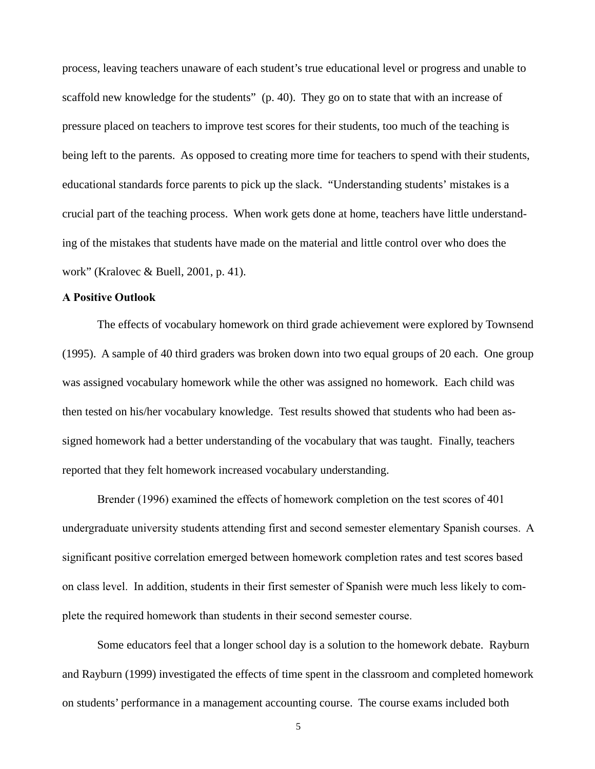process, leaving teachers unaware of each student's true educational level or progress and unable to scaffold new knowledge for the students" (p. 40). They go on to state that with an increase of pressure placed on teachers to improve test scores for their students, too much of the teaching is being left to the parents. As opposed to creating more time for teachers to spend with their students, educational standards force parents to pick up the slack. "Understanding students' mistakes is a crucial part of the teaching process. When work gets done at home, teachers have little understanding of the mistakes that students have made on the material and little control over who does the work" (Kralovec & Buell, 2001, p. 41).

#### **A Positive Outlook**

The effects of vocabulary homework on third grade achievement were explored by Townsend (1995). A sample of 40 third graders was broken down into two equal groups of 20 each. One group was assigned vocabulary homework while the other was assigned no homework. Each child was then tested on his/her vocabulary knowledge. Test results showed that students who had been assigned homework had a better understanding of the vocabulary that was taught. Finally, teachers reported that they felt homework increased vocabulary understanding.

Brender (1996) examined the effects of homework completion on the test scores of 401 undergraduate university students attending first and second semester elementary Spanish courses. A significant positive correlation emerged between homework completion rates and test scores based on class level. In addition, students in their first semester of Spanish were much less likely to complete the required homework than students in their second semester course.

Some educators feel that a longer school day is a solution to the homework debate. Rayburn and Rayburn (1999) investigated the effects of time spent in the classroom and completed homework on students' performance in a management accounting course. The course exams included both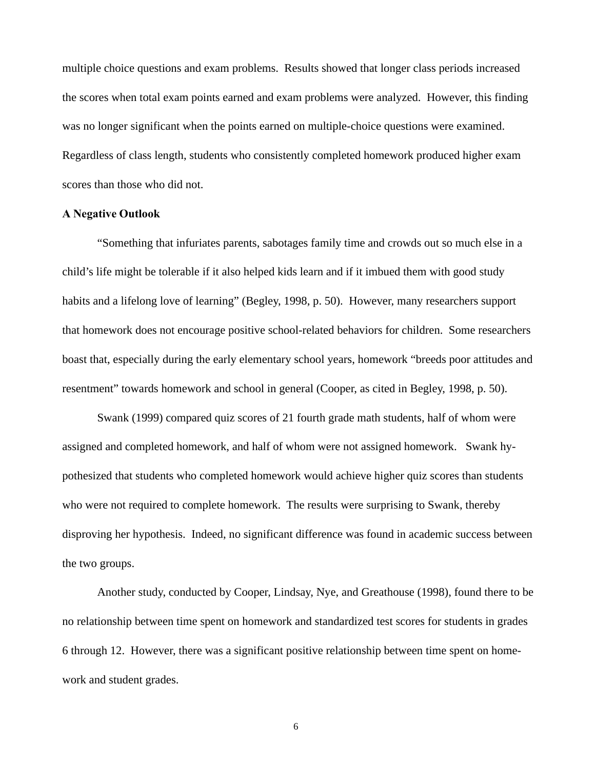multiple choice questions and exam problems. Results showed that longer class periods increased the scores when total exam points earned and exam problems were analyzed. However, this finding was no longer significant when the points earned on multiple-choice questions were examined. Regardless of class length, students who consistently completed homework produced higher exam scores than those who did not.

#### **A Negative Outlook**

"Something that infuriates parents, sabotages family time and crowds out so much else in a child's life might be tolerable if it also helped kids learn and if it imbued them with good study habits and a lifelong love of learning" (Begley, 1998, p. 50). However, many researchers support that homework does not encourage positive school-related behaviors for children. Some researchers boast that, especially during the early elementary school years, homework "breeds poor attitudes and resentment" towards homework and school in general (Cooper, as cited in Begley, 1998, p. 50).

Swank (1999) compared quiz scores of 21 fourth grade math students, half of whom were assigned and completed homework, and half of whom were not assigned homework. Swank hypothesized that students who completed homework would achieve higher quiz scores than students who were not required to complete homework. The results were surprising to Swank, thereby disproving her hypothesis. Indeed, no significant difference was found in academic success between the two groups.

Another study, conducted by Cooper, Lindsay, Nye, and Greathouse (1998), found there to be no relationship between time spent on homework and standardized test scores for students in grades 6 through 12. However, there was a significant positive relationship between time spent on homework and student grades.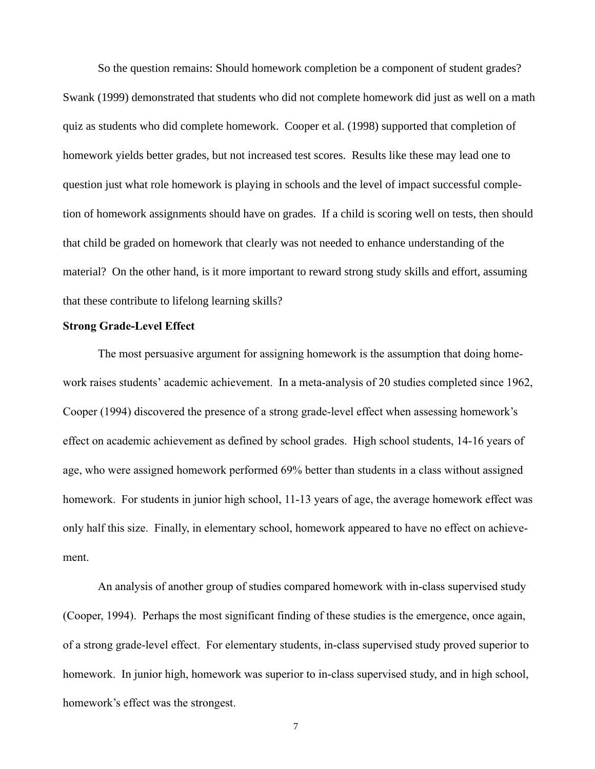So the question remains: Should homework completion be a component of student grades? Swank (1999) demonstrated that students who did not complete homework did just as well on a math quiz as students who did complete homework. Cooper et al. (1998) supported that completion of homework yields better grades, but not increased test scores. Results like these may lead one to question just what role homework is playing in schools and the level of impact successful completion of homework assignments should have on grades. If a child is scoring well on tests, then should that child be graded on homework that clearly was not needed to enhance understanding of the material? On the other hand, is it more important to reward strong study skills and effort, assuming that these contribute to lifelong learning skills?

#### **Strong Grade-Level Effect**

The most persuasive argument for assigning homework is the assumption that doing homework raises students' academic achievement. In a meta-analysis of 20 studies completed since 1962, Cooper (1994) discovered the presence of a strong grade-level effect when assessing homework's effect on academic achievement as defined by school grades. High school students, 14-16 years of age, who were assigned homework performed 69% better than students in a class without assigned homework. For students in junior high school, 11-13 years of age, the average homework effect was only half this size. Finally, in elementary school, homework appeared to have no effect on achievement.

An analysis of another group of studies compared homework with in-class supervised study (Cooper, 1994). Perhaps the most significant finding of these studies is the emergence, once again, of a strong grade-level effect. For elementary students, in-class supervised study proved superior to homework. In junior high, homework was superior to in-class supervised study, and in high school, homework's effect was the strongest.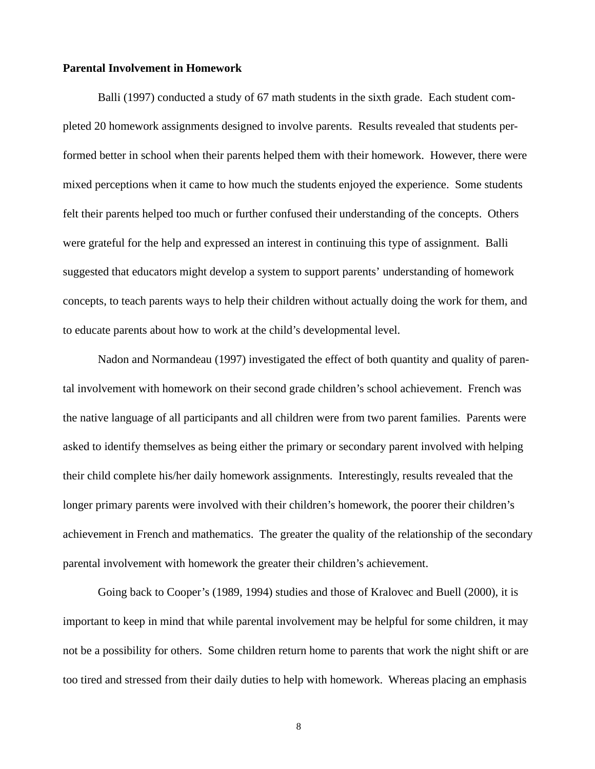#### **Parental Involvement in Homework**

Balli (1997) conducted a study of 67 math students in the sixth grade. Each student completed 20 homework assignments designed to involve parents. Results revealed that students performed better in school when their parents helped them with their homework. However, there were mixed perceptions when it came to how much the students enjoyed the experience. Some students felt their parents helped too much or further confused their understanding of the concepts. Others were grateful for the help and expressed an interest in continuing this type of assignment. Balli suggested that educators might develop a system to support parents' understanding of homework concepts, to teach parents ways to help their children without actually doing the work for them, and to educate parents about how to work at the child's developmental level.

Nadon and Normandeau (1997) investigated the effect of both quantity and quality of parental involvement with homework on their second grade children's school achievement. French was the native language of all participants and all children were from two parent families. Parents were asked to identify themselves as being either the primary or secondary parent involved with helping their child complete his/her daily homework assignments. Interestingly, results revealed that the longer primary parents were involved with their children's homework, the poorer their children's achievement in French and mathematics. The greater the quality of the relationship of the secondary parental involvement with homework the greater their children's achievement.

Going back to Cooper's (1989, 1994) studies and those of Kralovec and Buell (2000), it is important to keep in mind that while parental involvement may be helpful for some children, it may not be a possibility for others. Some children return home to parents that work the night shift or are too tired and stressed from their daily duties to help with homework. Whereas placing an emphasis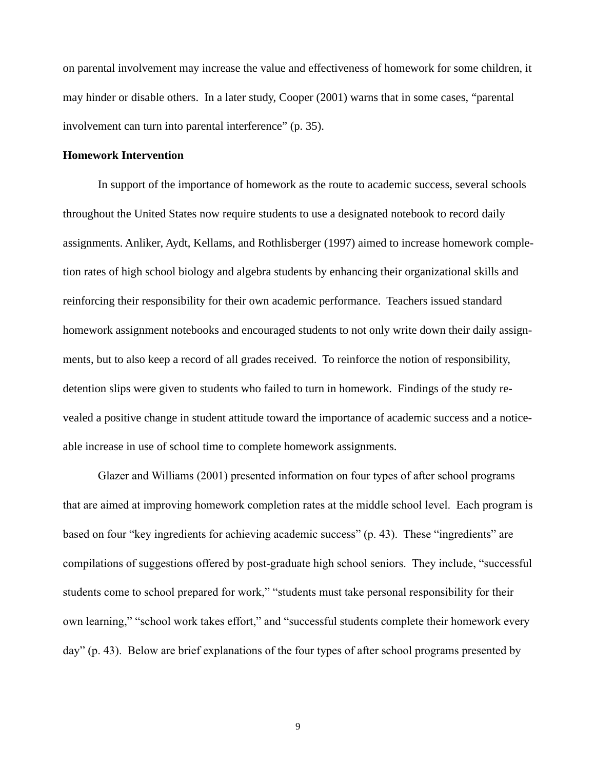on parental involvement may increase the value and effectiveness of homework for some children, it may hinder or disable others. In a later study, Cooper (2001) warns that in some cases, "parental involvement can turn into parental interference" (p. 35).

#### **Homework Intervention**

In support of the importance of homework as the route to academic success, several schools throughout the United States now require students to use a designated notebook to record daily assignments. Anliker, Aydt, Kellams, and Rothlisberger (1997) aimed to increase homework completion rates of high school biology and algebra students by enhancing their organizational skills and reinforcing their responsibility for their own academic performance. Teachers issued standard homework assignment notebooks and encouraged students to not only write down their daily assignments, but to also keep a record of all grades received. To reinforce the notion of responsibility, detention slips were given to students who failed to turn in homework. Findings of the study revealed a positive change in student attitude toward the importance of academic success and a noticeable increase in use of school time to complete homework assignments.

Glazer and Williams (2001) presented information on four types of after school programs that are aimed at improving homework completion rates at the middle school level. Each program is based on four "key ingredients for achieving academic success" (p. 43). These "ingredients" are compilations of suggestions offered by post-graduate high school seniors. They include, "successful students come to school prepared for work," "students must take personal responsibility for their own learning," "school work takes effort," and "successful students complete their homework every day" (p. 43). Below are brief explanations of the four types of after school programs presented by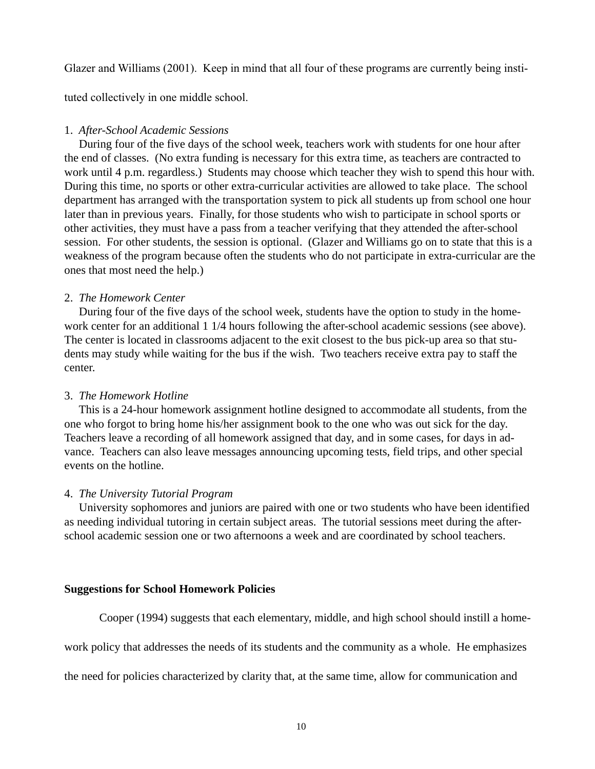Glazer and Williams (2001). Keep in mind that all four of these programs are currently being insti-

tuted collectively in one middle school.

## 1. *After-School Academic Sessions*

 During four of the five days of the school week, teachers work with students for one hour after the end of classes. (No extra funding is necessary for this extra time, as teachers are contracted to work until 4 p.m. regardless.) Students may choose which teacher they wish to spend this hour with. During this time, no sports or other extra-curricular activities are allowed to take place. The school department has arranged with the transportation system to pick all students up from school one hour later than in previous years. Finally, for those students who wish to participate in school sports or other activities, they must have a pass from a teacher verifying that they attended the after-school session. For other students, the session is optional. (Glazer and Williams go on to state that this is a weakness of the program because often the students who do not participate in extra-curricular are the ones that most need the help.)

# 2. *The Homework Center*

 During four of the five days of the school week, students have the option to study in the homework center for an additional 1 1/4 hours following the after-school academic sessions (see above). The center is located in classrooms adjacent to the exit closest to the bus pick-up area so that students may study while waiting for the bus if the wish. Two teachers receive extra pay to staff the center.

# 3. *The Homework Hotline*

 This is a 24-hour homework assignment hotline designed to accommodate all students, from the one who forgot to bring home his/her assignment book to the one who was out sick for the day. Teachers leave a recording of all homework assigned that day, and in some cases, for days in advance. Teachers can also leave messages announcing upcoming tests, field trips, and other special events on the hotline.

# 4. *The University Tutorial Program*

 University sophomores and juniors are paired with one or two students who have been identified as needing individual tutoring in certain subject areas. The tutorial sessions meet during the afterschool academic session one or two afternoons a week and are coordinated by school teachers.

#### **Suggestions for School Homework Policies**

Cooper (1994) suggests that each elementary, middle, and high school should instill a home-

work policy that addresses the needs of its students and the community as a whole. He emphasizes

the need for policies characterized by clarity that, at the same time, allow for communication and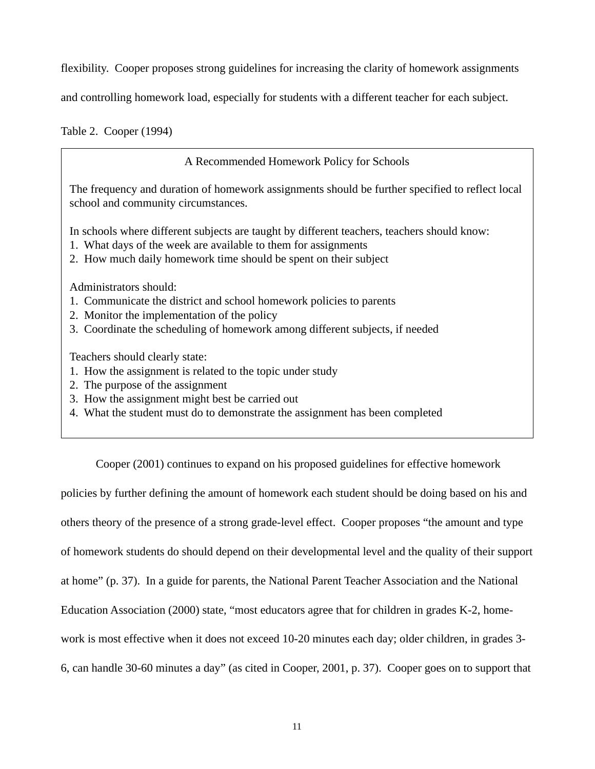flexibility. Cooper proposes strong guidelines for increasing the clarity of homework assignments

and controlling homework load, especially for students with a different teacher for each subject.

Table 2. Cooper (1994)

A Recommended Homework Policy for Schools The frequency and duration of homework assignments should be further specified to reflect local school and community circumstances. In schools where different subjects are taught by different teachers, teachers should know: 1. What days of the week are available to them for assignments 2. How much daily homework time should be spent on their subject

Administrators should:

- 1. Communicate the district and school homework policies to parents
- 2. Monitor the implementation of the policy
- 3. Coordinate the scheduling of homework among different subjects, if needed

Teachers should clearly state:

- 1. How the assignment is related to the topic under study
- 2. The purpose of the assignment
- 3. How the assignment might best be carried out
- 4. What the student must do to demonstrate the assignment has been completed

Cooper (2001) continues to expand on his proposed guidelines for effective homework

policies by further defining the amount of homework each student should be doing based on his and others theory of the presence of a strong grade-level effect. Cooper proposes "the amount and type of homework students do should depend on their developmental level and the quality of their support at home" (p. 37). In a guide for parents, the National Parent Teacher Association and the National Education Association (2000) state, "most educators agree that for children in grades K-2, homework is most effective when it does not exceed 10-20 minutes each day; older children, in grades 3- 6, can handle 30-60 minutes a day" (as cited in Cooper, 2001, p. 37). Cooper goes on to support that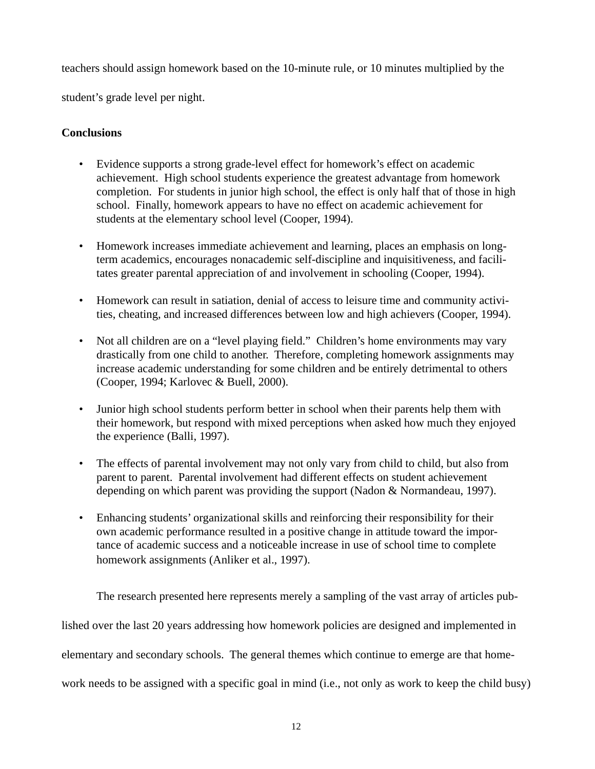teachers should assign homework based on the 10-minute rule, or 10 minutes multiplied by the student's grade level per night.

# **Conclusions**

- Evidence supports a strong grade-level effect for homework's effect on academic achievement. High school students experience the greatest advantage from homework completion. For students in junior high school, the effect is only half that of those in high school. Finally, homework appears to have no effect on academic achievement for students at the elementary school level (Cooper, 1994).
- Homework increases immediate achievement and learning, places an emphasis on longterm academics, encourages nonacademic self-discipline and inquisitiveness, and facilitates greater parental appreciation of and involvement in schooling (Cooper, 1994).
- Homework can result in satiation, denial of access to leisure time and community activities, cheating, and increased differences between low and high achievers (Cooper, 1994).
- Not all children are on a "level playing field." Children's home environments may vary drastically from one child to another. Therefore, completing homework assignments may increase academic understanding for some children and be entirely detrimental to others (Cooper, 1994; Karlovec & Buell, 2000).
- Junior high school students perform better in school when their parents help them with their homework, but respond with mixed perceptions when asked how much they enjoyed the experience (Balli, 1997).
- The effects of parental involvement may not only vary from child to child, but also from parent to parent. Parental involvement had different effects on student achievement depending on which parent was providing the support (Nadon & Normandeau, 1997).
- Enhancing students' organizational skills and reinforcing their responsibility for their own academic performance resulted in a positive change in attitude toward the importance of academic success and a noticeable increase in use of school time to complete homework assignments (Anliker et al., 1997).

The research presented here represents merely a sampling of the vast array of articles pub-

lished over the last 20 years addressing how homework policies are designed and implemented in

elementary and secondary schools. The general themes which continue to emerge are that home-

work needs to be assigned with a specific goal in mind (i.e., not only as work to keep the child busy)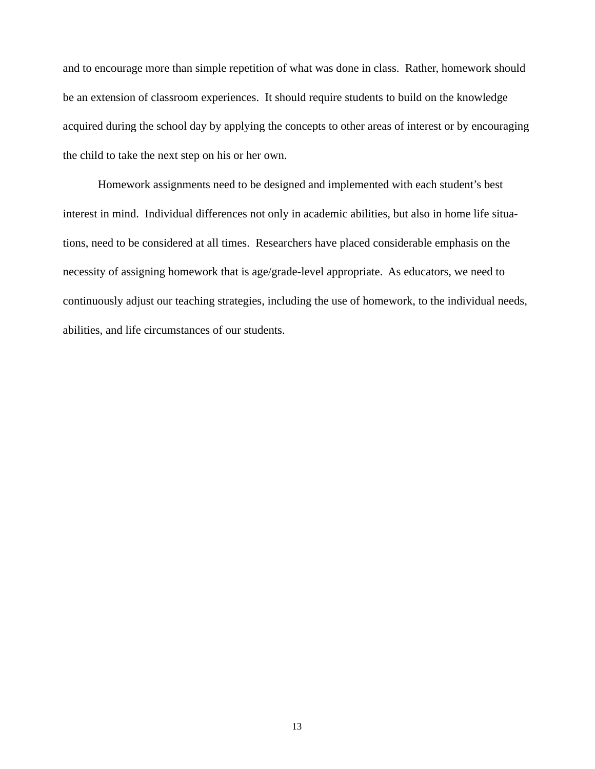and to encourage more than simple repetition of what was done in class. Rather, homework should be an extension of classroom experiences. It should require students to build on the knowledge acquired during the school day by applying the concepts to other areas of interest or by encouraging the child to take the next step on his or her own.

Homework assignments need to be designed and implemented with each student's best interest in mind. Individual differences not only in academic abilities, but also in home life situations, need to be considered at all times. Researchers have placed considerable emphasis on the necessity of assigning homework that is age/grade-level appropriate. As educators, we need to continuously adjust our teaching strategies, including the use of homework, to the individual needs, abilities, and life circumstances of our students.